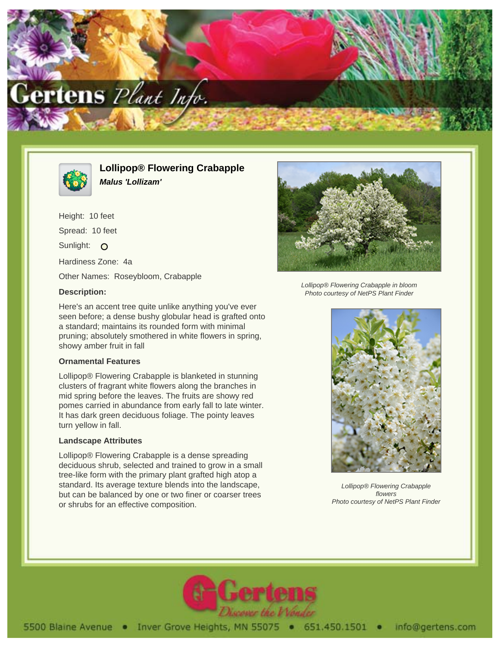



**Lollipop® Flowering Crabapple Malus 'Lollizam'**

Height: 10 feet Spread: 10 feet Sunlight: O Hardiness Zone: 4a Other Names: Roseybloom, Crabapple

## **Description:**

Here's an accent tree quite unlike anything you've ever seen before; a dense bushy globular head is grafted onto a standard; maintains its rounded form with minimal pruning; absolutely smothered in white flowers in spring, showy amber fruit in fall

## **Ornamental Features**

Lollipop® Flowering Crabapple is blanketed in stunning clusters of fragrant white flowers along the branches in mid spring before the leaves. The fruits are showy red pomes carried in abundance from early fall to late winter. It has dark green deciduous foliage. The pointy leaves turn yellow in fall.

## **Landscape Attributes**

Lollipop® Flowering Crabapple is a dense spreading deciduous shrub, selected and trained to grow in a small tree-like form with the primary plant grafted high atop a standard. Its average texture blends into the landscape, but can be balanced by one or two finer or coarser trees or shrubs for an effective composition.



Lollipop® Flowering Crabapple in bloom Photo courtesy of NetPS Plant Finder



Lollipop® Flowering Crabapple flowers Photo courtesy of NetPS Plant Finder